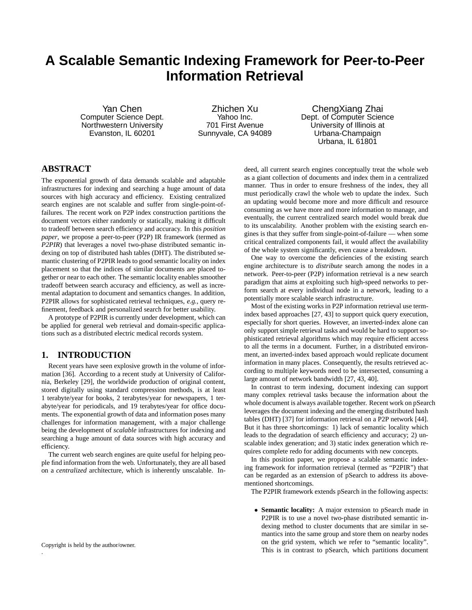# **A Scalable Semantic Indexing Framework for Peer-to-Peer Information Retrieval**

Yan Chen Computer Science Dept. Northwestern University Evanston, IL 60201

Zhichen Xu Yahoo Inc. 701 First Avenue Sunnyvale, CA 94089

ChengXiang Zhai Dept. of Computer Science University of Illinois at Urbana-Champaign Urbana, IL 61801

## **ABSTRACT**

The exponential growth of data demands scalable and adaptable infrastructures for indexing and searching a huge amount of data sources with high accuracy and efficiency. Existing centralized search engines are not scalable and suffer from single-point-offailures. The recent work on P2P index construction partitions the document vectors either randomly or statically, making it difficult to tradeoff between search efficiency and accuracy. In this *position paper*, we propose a peer-to-peer (P2P) IR framework (termed as *P2PIR*) that leverages a novel two-phase distributed semantic indexing on top of distributed hash tables (DHT). The distributed semantic clustering of P2PIR leads to good semantic locality on index placement so that the indices of similar documents are placed together or near to each other. The semantic locality enables smoother tradeoff between search accuracy and efficiency, as well as incremental adaptation to document and semantics changes. In addition, P2PIR allows for sophisticated retrieval techniques, *e.g.*, query refinement, feedback and personalized search for better usability.

A prototype of P2PIR is currently under development, which can be applied for general web retrieval and domain-specific applications such as a distributed electric medical records system.

## **1. INTRODUCTION**

Recent years have seen explosive growth in the volume of information [36]. According to a recent study at University of California, Berkeley [29], the worldwide production of original content, stored digitally using standard compression methods, is at least 1 terabyte/year for books, 2 terabytes/year for newspapers, 1 terabyte/year for periodicals, and 19 terabytes/year for office documents. The exponential growth of data and information poses many challenges for information management, with a major challenge being the development of *scalable* infrastructures for indexing and searching a huge amount of data sources with high accuracy and efficiency.

The current web search engines are quite useful for helping people find information from the web. Unfortunately, they are all based on a *centralized* architecture, which is inherently unscalable. In-

.

deed, all current search engines conceptually treat the whole web as a giant collection of documents and index them in a centralized manner. Thus in order to ensure freshness of the index, they all must periodically crawl the whole web to update the index. Such an updating would become more and more difficult and resource consuming as we have more and more information to manage, and eventually, the current centralized search model would break due to its unscalability. Another problem with the existing search engines is that they suffer from single-point-of-failure — when some critical centralized components fail, it would affect the availability of the whole system significantly, even cause a breakdown.

One way to overcome the deficiencies of the existing search engine architecture is to *distribute* search among the nodes in a network. Peer-to-peer (P2P) information retrieval is a new search paradigm that aims at exploiting such high-speed networks to perform search at every individual node in a network, leading to a potentially more scalable search infrastructure.

Most of the existing works in P2P information retrieval use termindex based approaches [27, 43] to support quick query execution, especially for short queries. However, an inverted-index alone can only support simple retrieval tasks and would be hard to support sophisticated retrieval algorithms which may require efficient access to all the terms in a document. Further, in a distributed environment, an inverted-index based approach would replicate document information in many places. Consequently, the results retrieved according to multiple keywords need to be intersected, consuming a large amount of network bandwidth [27, 43, 40].

In contrast to term indexing, document indexing can support many complex retrieval tasks because the information about the whole document is always available together. Recent work on pSearch leverages the document indexing and the emerging distributed hash tables (DHT) [37] for information retrieval on a P2P network [44]. But it has three shortcomings: 1) lack of semantic locality which leads to the degradation of search efficiency and accuracy; 2) unscalable index generation; and 3) static index generation which requires complete redo for adding documents with new concepts.

In this position paper, we propose a scalable semantic indexing framework for information retrieval (termed as "P2PIR") that can be regarded as an extension of pSearch to address its abovementioned shortcomings.

The P2PIR framework extends pSearch in the following aspects:

• **Semantic locality:** A major extension to pSearch made in P2PIR is to use a novel two-phase distributed semantic indexing method to cluster documents that are similar in semantics into the same group and store them on nearby nodes on the grid system, which we refer to "semantic locality". This is in contrast to pSearch, which partitions document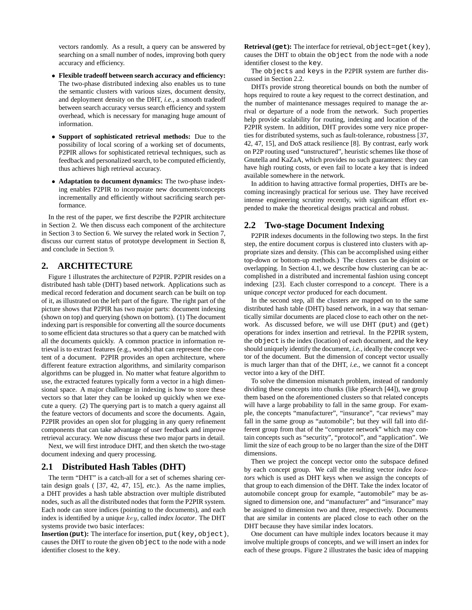vectors randomly. As a result, a query can be answered by searching on a small number of nodes, improving both query accuracy and efficiency.

- **Flexible tradeoff between search accuracy and efficiency:** The two-phase distributed indexing also enables us to tune the semantic clusters with various sizes, document density, and deployment density on the DHT, *i.e.*, a smooth tradeoff between search accuracy versus search efficiency and system overhead, which is necessary for managing huge amount of information.
- **Support of sophisticated retrieval methods:** Due to the possibility of local scoring of a working set of documents, P2PIR allows for sophisticated retrieval techniques, such as feedback and personalized search, to be computed efficiently, thus achieves high retrieval accuracy.
- **Adaptation to document dynamics:** The two-phase indexing enables P2PIR to incorporate new documents/concepts incrementally and efficiently without sacrificing search performance.

In the rest of the paper, we first describe the P2PIR architecture in Section 2. We then discuss each component of the architecture in Section 3 to Section 6. We survey the related work in Section 7, discuss our current status of prototype development in Section 8, and conclude in Section 9.

## **2. ARCHITECTURE**

Figure 1 illustrates the architecture of P2PIR. P2PIR resides on a distributed hash table (DHT) based network. Applications such as medical record federation and document search can be built on top of it, as illustrated on the left part of the figure. The right part of the picture shows that P2PIR has two major parts: document indexing (shown on top) and querying (shown on bottom). (1) The document indexing part is responsible for converting all the source documents to some efficient data structures so that a query can be matched with all the documents quickly. A common practice in information retrieval is to extract features (e.g., words) that can represent the content of a document. P2PIR provides an open architecture, where different feature extraction algorithms, and similarity comparison algorithms can be plugged in. No matter what feature algorithm to use, the extracted features typically form a vector in a high dimensional space. A major challenge in indexing is how to store these vectors so that later they can be looked up quickly when we execute a query. (2) The querying part is to match a query against all the feature vectors of documents and score the documents. Again, P2PIR provides an open slot for plugging in any query refinement components that can take advantage of user feedback and improve retrieval accuracy. We now discuss these two major parts in detail.

Next, we will first introduce DHT, and then sketch the two-stage document indexing and query processing.

#### **2.1 Distributed Hash Tables (DHT)**

The term "DHT" is a catch-all for a set of schemes sharing certain design goals ( [37, 42, 47, 15], *etc.*). As the name implies, a DHT provides a hash table abstraction over multiple distributed nodes, such as all the distributed nodes that form the P2PIR system. Each node can store indices (pointing to the documents), and each index is identified by a unique key, called *index locator*. The DHT systems provide two basic interfaces:

**Insertion (put):** The interface for insertion, put(key,object), causes the DHT to route the given object to the node with a node identifier closest to the key.

**Retrieval (get):** The interface for retrieval, object=get(key), causes the DHT to obtain the object from the node with a node identifier closest to the key.

The objects and keys in the P2PIR system are further discussed in Section 2.2.

DHTs provide strong theoretical bounds on both the number of hops required to route a key request to the correct destination, and the number of maintenance messages required to manage the arrival or departure of a node from the network. Such properties help provide scalability for routing, indexing and location of the P2PIR system. In addition, DHT provides some very nice properties for distributed systems, such as fault-tolerance, robustness [37, 42, 47, 15], and DoS attack resilience [8]. By contrast, early work on P2P routing used "unstructured", heuristic schemes like those of Gnutella and KaZaA, which provides no such guarantees: they can have high routing costs, or even fail to locate a key that is indeed available somewhere in the network.

In addition to having attractive formal properties, DHTs are becoming increasingly practical for serious use. They have received intense engineering scrutiny recently, with significant effort expended to make the theoretical designs practical and robust.

#### **2.2 Two-stage Document Indexing**

P2PIR indexes documents in the following two steps. In the first step, the entire document corpus is clustered into clusters with appropriate sizes and density. (This can be accomplished using either top-down or bottom-up methods.) The clusters can be disjoint or overlapping. In Section 4.1, we describe how clustering can be accomplished in a distributed and incremental fashion using concept indexing [23]. Each cluster correspond to a *concept*. There is a unique *concept vector* produced for each document.

In the second step, all the clusters are mapped on to the same distributed hash table (DHT) based network, in a way that semantically similar documents are placed close to each other on the network. As discussed before, we will use DHT (put) and (get) operations for index insertion and retrieval. In the P2PIR system, the object is the index (location) of each document, and the key should uniquely identify the document, *i.e.*, ideally the concept vector of the document. But the dimension of concept vector usually is much larger than that of the DHT, *i.e.*, we cannot fit a concept vector into a key of the DHT.

To solve the dimension mismatch problem, instead of randomly dividing these concepts into chunks (like pSearch [44]), we group them based on the aforementioned clusters so that related concepts will have a large probability to fall in the same group. For example, the concepts "manufacturer", "insurance", "car reviews" may fall in the same group as "automobile"; but they will fall into different group from that of the "computer network" which may contain concepts such as "security", "protocol", and "application". We limit the size of each group to be no larger than the size of the DHT dimensions.

Then we project the concept vector onto the subspace defined by each concept group. We call the resulting vector *index locators* which is used as DHT keys when we assign the concepts of that group to each dimension of the DHT. Take the index locator of automobile concept group for example, "automobile" may be assigned to dimension one, and "manufacturer" and "insurance" may be assigned to dimension two and three, respectively. Documents that are similar in contents are placed close to each other on the DHT because they have similar index locators.

One document can have multiple index locators because it may involve multiple groups of concepts, and we will insert an index for each of these groups. Figure 2 illustrates the basic idea of mapping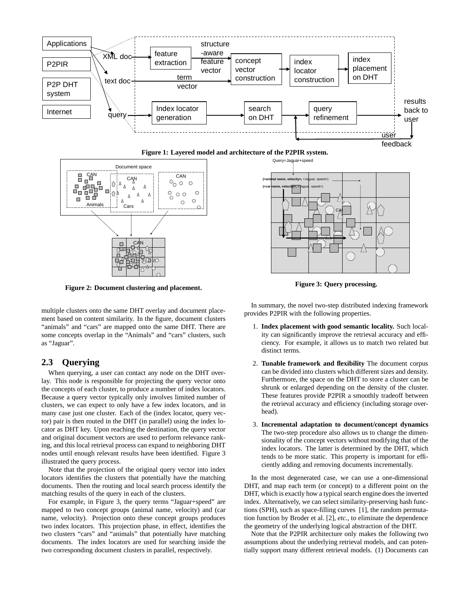





**Figure 2: Document clustering and placement.**

multiple clusters onto the same DHT overlay and document placement based on content similarity. In the figure, document clusters "animals" and "cars" are mapped onto the same DHT. There are some concepts overlap in the "Animals" and "cars" clusters, such as "Jaguar".

## **2.3 Querying**

When querying, a user can contact any node on the DHT overlay. This node is responsible for projecting the query vector onto the concepts of each cluster, to produce a number of index locators. Because a query vector typically only involves limited number of clusters, we can expect to only have a few index locators, and in many case just one cluster. Each of the (index locator, query vector) pair is then routed in the DHT (in parallel) using the index locator as DHT key. Upon reaching the destination, the query vector and original document vectors are used to perform relevance ranking, and this local retrieval process can expand to neighboring DHT nodes until enough relevant results have been identified. Figure 3 illustrated the query process.

Note that the projection of the original query vector into index locators identifies the clusters that potentially have the matching documents. Then the routing and local search process identify the matching results of the query in each of the clusters.

For example, in Figure 3, the query terms "Jaguar+speed" are mapped to two concept groups (animal name, velocity) and (car name, velocity). Projection onto these concept groups produces two index locators. This projection phase, in effect, identifies the two clusters "cars" and "animals" that potentially have matching documents. The index locators are used for searching inside the two corresponding document clusters in parallel, respectively.



**Figure 3: Query processing.**

In summary, the novel two-step distributed indexing framework provides P2PIR with the following properties.

- 1. **Index placement with good semantic locality.** Such locality can significantly improve the retrieval accuracy and efficiency. For example, it allows us to match two related but distinct terms.
- 2. **Tunable framework and flexibility** The document corpus can be divided into clusters which different sizes and density. Furthermore, the space on the DHT to store a cluster can be shrunk or enlarged depending on the density of the cluster. These features provide P2PIR a smoothly tradeoff between the retrieval accuracy and efficiency (including storage overhead).
- 3. **Incremental adaptation to document/concept dynamics** The two-step procedure also allows us to change the dimensionality of the concept vectors without modifying that of the index locators. The latter is determined by the DHT, which tends to be more static. This property is important for efficiently adding and removing documents incrementally.

In the most degenerated case, we can use a one-dimensional DHT, and map each term (or concept) to a different point on the DHT, which is exactly how a typical search engine does the inverted index. Alternatively, we can select similarity-preserving hash functions (SPH), such as space-filling curves [1], the random permutation function by Broder et al. [2], *etc.*, to eliminate the dependence the geometry of the underlying logical abstraction of the DHT.

Note that the P2PIR architecture only makes the following two assumptions about the underlying retrieval models, and can potentially support many different retrieval models. (1) Documents can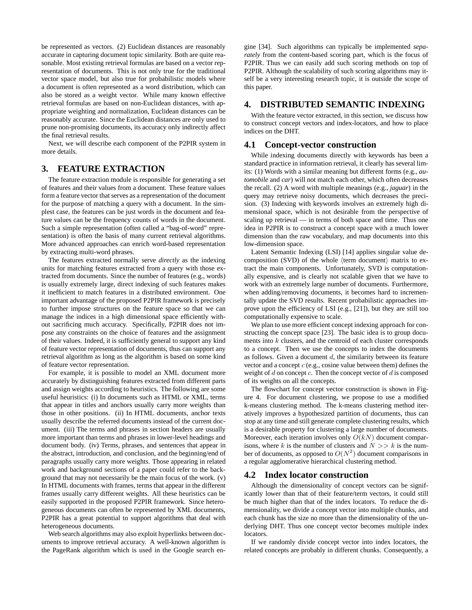be represented as vectors. (2) Euclidean distances are reasonably accurate in capturing document topic similarity. Both are quite reasonable. Most existing retrieval formulas are based on a vector representation of documents. This is not only true for the traditional vector space model, but also true for probabilistic models where a document is often represented as a word distribution, which can also be stored as a weight vector. While many known effective retrieval formulas are based on non-Euclidean distances, with appropriate weighting and normalization, Euclidean distances can be reasonably accurate. Since the Euclidean distances are only used to prune non-promising documents, its accuracy only indirectly affect the final retrieval results.

Next, we will describe each component of the P2PIR system in more details.

# **3. FEATURE EXTRACTION**

The feature extraction module is responsible for generating a set of features and their values from a document. These feature values form a feature vector that serves as a representation of the document for the purpose of matching a query with a document. In the simplest case, the features can be just words in the document and feature values can be the frequency counts of words in the document. Such a simple representation (often called a "bag-of-word" representation) is often the basis of many current retrieval algorithms. More advanced approaches can enrich word-based representation by extracting multi-word phrases.

The features extracted normally serve *directly* as the indexing units for matching features extracted from a query with those extracted from documents. Since the number of features (e.g., words) is usually extremely large, direct indexing of such features makes it inefficient to match features in a distributed environment. One important advantage of the proposed P2PIR framework is precisely to further impose structures on the feature space so that we can manage the indices in a high dimensional space efficiently without sacrificing much accuracy. Specifically, P2PIR does not impose any constraints on the choice of features and the assignment of their values. Indeed, it is sufficiently general to support any kind of feature vector representation of documents, thus can support any retrieval algorithm as long as the algorithm is based on some kind of feature vector representation.

For example, it is possible to model an XML document more accurately by distinguishing features extracted from different parts and assign weights according to heuristics. The following are some useful heuristics: (i) In documents such as HTML or XML, terms that appear in titles and anchors usually carry more weights than those in other positions. (ii) In HTML documents, anchor texts usually describe the referred documents instead of the current document. (iii) The terms and phrases in section headers are usually more important than terms and phrases in lower-level headings and document body. (iv) Terms, phrases, and sentences that appear in the abstract, introduction, and conclusion, and the beginning/end of paragraphs usually carry more weights. Those appearing in related work and background sections of a paper could refer to the background that may not necessarily be the main focus of the work. (v) In HTML documents with frames, terms that appear in the different frames usually carry different weights. All these heuristics can be easily supported in the proposed P2PIR framework. Since heterogeneous documents can often be represented by XML documents, P2PIR has a great potential to support algorithms that deal with heterogeneous documents.

Web search algorithms may also exploit hyperlinks between documents to improve retrieval accuracy. A well-known algorithm is the PageRank algorithm which is used in the Google search engine [34]. Such algorithms can typically be implemented *separately* from the content-based scoring part, which is the focus of P2PIR. Thus we can easily add such scoring methods on top of P2PIR. Although the scalability of such scoring algorithms may itself be a very interesting research topic, it is outside the scope of this paper.

#### **4. DISTRIBUTED SEMANTIC INDEXING**

With the feature vector extracted, in this section, we discuss how to construct concept vectors and index-locators, and how to place indices on the DHT.

#### **4.1 Concept-vector construction**

While indexing documents directly with keywords has been a standard practice in information retrieval, it clearly has several limits: (1) Words with a similar meaning but different forms (e.g., *automobile* and *car*) will not match each other, which often decreases the recall. (2) A word with multiple meanings (e.g., *jaguar*) in the query may retrieve noisy documents, which decreases the precision. (3) Indexing with keywords involves an extremely high dimensional space, which is not desirable from the perspective of scaling up retrieval — in terms of both space and time. Thus one idea in P2PIR is to construct a concept space with a much lower dimension than the raw vocabulary, and map documents into this low-dimension space.

Latent Semantic Indexing (LSI) [14] applies singular value decomposition (SVD) of the whole  $\langle$  term document $\rangle$  matrix to extract the main components. Unfortunately, SVD is computationally expensive, and is clearly not scalable given that we have to work with an extremely large number of documents. Furthermore, when adding/removing documents, it becomes hard to incrementally update the SVD results. Recent probabilistic approaches improve upon the efficiency of LSI (e.g., [21]), but they are still too computationally expensive to scale.

We plan to use more efficient concept indexing approach for constructing the concept space [23]. The basic idea is to group documents into k clusters, and the centroid of each cluster corresponds to a concept. Then we use the concepts to index the documents as follows. Given a document  $d$ , the similarity between its feature vector and a concept  $c$  (e.g., cosine value between them) defines the weight of  $d$  on concept  $c$ . Then the concept vector of  $d$  is composed of its weights on all the concepts.

The flowchart for concept vector construction is shown in Figure 4. For document clustering, we propose to use a modified k-means clustering method. The k-means clustering method iteratively improves a hypothesized partition of documents, thus can stop at any time and still generate complete clustering results, which is a desirable property for clustering a large number of documents. Moreover, each iteration involves only  $O(kN)$  document comparisons, where k is the number of clusters and  $N \gg k$  is the number of documents, as opposed to  $O(N^2)$  document comparisons in a regular agglomerative hierarchical clustering method.

#### **4.2 Index locator construction**

Although the dimensionality of concept vectors can be significantly lower than that of their feature/term vectors, it could still be much higher than that of the index locators. To reduce the dimensionality, we divide a concept vector into multiple chunks, and each chunk has the size no more than the dimensionality of the underlying DHT. Thus one concept vector becomes multiple index locators.

If we randomly divide concept vector into index locators, the related concepts are probably in different chunks. Consequently, a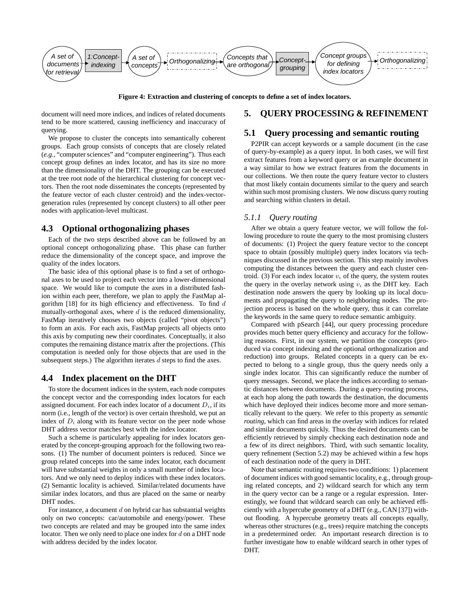

**Figure 4: Extraction and clustering of concepts to define a set of index locators.**

document will need more indices, and indices of related documents tend to be more scattered, causing inefficiency and inaccuracy of querying.

We propose to cluster the concepts into semantically coherent groups. Each group consists of concepts that are closely related (*e.g.*, "computer sciences" and "computer engineering"). Thus each concept group defines an index locator, and has its size no more than the dimensionality of the DHT. The grouping can be executed at the tree root node of the hierarchical clustering for concept vectors. Then the root node disseminates the concepts (represented by the feature vector of each cluster centroid) and the index-vectorgeneration rules (represented by concept clusters) to all other peer nodes with application-level multicast.

#### **4.3 Optional orthogonalizing phases**

Each of the two steps described above can be followed by an optional concept orthogonalizing phase. This phase can further reduce the dimensionality of the concept space, and improve the quality of the index locators.

The basic idea of this optional phase is to find a set of orthogonal axes to be used to project each vector into a lower-dimensional space. We would like to compute the axes in a distributed fashion within each peer, therefore, we plan to apply the FastMap algorithm  $[18]$  for its high efficiency and effectiveness. To find  $d$ mutually-orthogonal axes, where  $d$  is the reduced dimensionality, FastMap iteratively chooses two objects (called "pivot objects") to form an axis. For each axis, FastMap projects all objects onto this axis by computing new their coordinates. Conceptually, it also computes the remaining distance matrix after the projections. (This computation is needed only for those objects that are used in the subsequent steps.) The algorithm iterates  $d$  steps to find the axes.

#### **4.4 Index placement on the DHT**

To store the document indices in the system, each node computes the concept vector and the corresponding index locators for each assigned document. For each index locator of a document  $D_i$ , if its norm (i.e., length of the vector) is over certain threshold, we put an index of  $D_i$  along with its feature vector on the peer node whose DHT address vector matches best with the index locator.

Such a scheme is particularly appealing for index locators generated by the concept-grouping approach for the following two reasons. (1) The number of document pointers is reduced. Since we group related concepts into the same index locator, each document will have substantial weights in only a small number of index locators. And we only need to deploy indices with these index locators. (2) Semantic locality is achieved. Similar/related documents have similar index locators, and thus are placed on the same or nearby DHT nodes.

For instance, a document  $d$  on hybrid car has substantial weights only on two concepts: car/automobile and energy/power. These two concepts are related and may be grouped into the same index locator. Then we only need to place one index for  $d$  on a DHT node with address decided by the index locator.

## **5. QUERY PROCESSING & REFINEMENT**

#### **5.1 Query processing and semantic routing**

P2PIR can accept keywords or a sample document (in the case of query-by-example) as a query input. In both cases, we will first extract features from a keyword query or an example document in a way similar to how we extract features from the documents in our collections. We then route the query feature vector to clusters that most likely contain documents similar to the query and search within such most promising clusters. We now discuss query routing and searching within clusters in detail.

#### *5.1.1 Query routing*

After we obtain a query feature vector, we will follow the following procedure to route the query to the most promising clusters of documents: (1) Project the query feature vector to the concept space to obtain (possibly multiple) query index locators via techniques discussed in the previous section. This step mainly involves computing the distances between the query and each cluster centroid. (3) For each index locator  $v_i$  of the query, the system routes the query in the overlay network using  $v_i$  as the DHT key. Each destination node answers the query by looking up its local documents and propagating the query to neighboring nodes. The projection process is based on the whole query, thus it can correlate the keywords in the same query to reduce semantic ambiguity.

Compared with pSearch [44], our query processing procedure provides much better query efficiency and accuracy for the following reasons. First, in our system, we partition the concepts (produced via concept indexing and the optional orthogonalization and reduction) into groups. Related concepts in a query can be expected to belong to a single group, thus the query needs only a single index locator. This can significantly reduce the number of query messages. Second, we place the indices according to semantic distances between documents. During a query-routing process, at each hop along the path towards the destination, the documents which have deployed their indices become more and more semantically relevant to the query. We refer to this property as *semantic routing*, which can find areas in the overlay with indices for related and similar documents quickly. Thus the desired documents can be efficiently retrieved by simply checking each destination node and a few of its direct neighbors. Third, with such semantic locality, query refinement (Section 5.2) may be achieved within a few hops of each destination node of the query in DHT.

Note that semantic routing requires two conditions: 1) placement of document indices with good semantic locality, e.g., through grouping related concepts, and 2) wildcard search for which any term in the query vector can be a range or a regular expression. Interestingly, we found that wildcard search can only be achieved efficiently with a hypercube geometry of a DHT (e.g., CAN [37]) without flooding. A hypercube geometry treats all concepts equally, whereas other structures (e.g., trees) require matching the concepts in a predetermined order. An important research direction is to further investigate how to enable wildcard search in other types of DHT.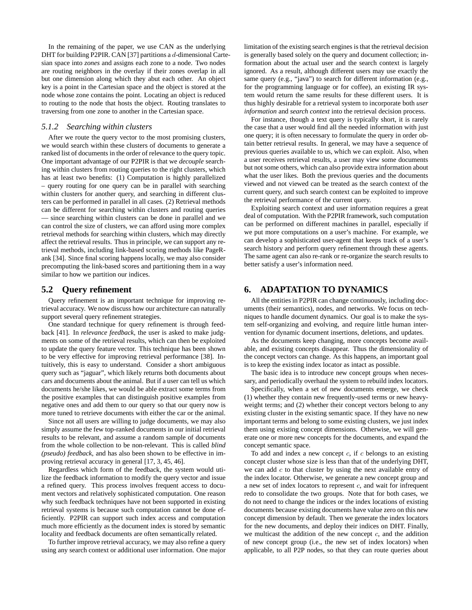In the remaining of the paper, we use CAN as the underlying DHT for building P2PIR. CAN [37] partitions a d-dimensional Cartesian space into *zones* and assigns each zone to a node. Two nodes are routing neighbors in the overlay if their zones overlap in all but one dimension along which they abut each other. An object key is a point in the Cartesian space and the object is stored at the node whose zone contains the point. Locating an object is reduced to routing to the node that hosts the object. Routing translates to traversing from one zone to another in the Cartesian space.

#### *5.1.2 Searching within clusters*

After we route the query vector to the most promising clusters, we would search within these clusters of documents to generate a ranked list of documents in the order of relevance to the query topic. One important advantage of our P2PIR is that we *decouple* searching within clusters from routing queries to the right clusters, which has at least two benefits: (1) Computation is highly parallelized – query routing for one query can be in parallel with searching within clusters for another query, and searching in different clusters can be performed in parallel in all cases. (2) Retrieval methods can be different for searching within clusters and routing queries — since searching within clusters can be done in parallel and we can control the size of clusters, we can afford using more complex retrieval methods for searching within clusters, which may directly affect the retrieval results. Thus in principle, we can support any retrieval methods, including link-based scoring methods like PageRank [34]. Since final scoring happens locally, we may also consider precomputing the link-based scores and partitioning them in a way similar to how we partition our indices.

#### **5.2 Query refinement**

Query refinement is an important technique for improving retrieval accuracy. We now discuss how our architecture can naturally support several query refinement strategies.

One standard technique for query refinement is through feedback [41]. In *relevance feedback*, the user is asked to make judgments on some of the retrieval results, which can then be exploited to update the query feature vector. This technique has been shown to be very effective for improving retrieval performance [38]. Intuitively, this is easy to understand. Consider a short ambiguous query such as "jaguar", which likely returns both documents about cars and documents about the animal. But if a user can tell us which documents he/she likes, we would be able extract some terms from the positive examples that can distinguish positive examples from negative ones and add them to our query so that our query now is more tuned to retrieve documents with either the car or the animal.

Since not all users are willing to judge documents, we may also simply assume the few top-ranked documents in our initial retrieval results to be relevant, and assume a random sample of documents from the whole collection to be non-relevant. This is called *blind (pseudo) feedback*, and has also been shown to be effective in improving retrieval accuracy in general [17, 3, 45, 46].

Regardless which form of the feedback, the system would utilize the feedback information to modify the query vector and issue a refined query. This process involves frequent access to document vectors and relatively sophisticated computation. One reason why such feedback techniques have not been supported in existing retrieval systems is because such computation cannot be done efficiently. P2PIR can support such index access and computation much more efficiently as the document index is stored by semantic locality and feedback documents are often semantically related.

To further improve retrieval accuracy, we may also refine a query using any search context or additional user information. One major limitation of the existing search engines isthat the retrieval decision is generally based solely on the query and document collection; information about the actual user and the search context is largely ignored. As a result, although different users may use exactly the same query (e.g., "java") to search for different information (e.g., for the programming language or for coffee), an existing IR system would return the same results for these different users. It is thus highly desirable for a retrieval system to incorporate both *user information* and *search context* into the retrieval decision process.

For instance, though a text query is typically short, it is rarely the case that a user would find all the needed information with just one query; it is often necessary to formulate the query in order obtain better retrieval results. In general, we may have a sequence of previous queries available to us, which we can exploit. Also, when a user receives retrieval results, a user may view some documents but not some others, which can also provide extra information about what the user likes. Both the previous queries and the documents viewed and not viewed can be treated as the search context of the current query, and such search context can be exploited to improve the retrieval performance of the current query.

Exploiting search context and user information requires a great deal of computation. With the P2PIR framework, such computation can be performed on different machines in parallel, especially if we put more computations on a user's machine. For example, we can develop a sophisticated user-agent that keeps track of a user's search history and perform query refinement through these agents. The same agent can also re-rank or re-organize the search results to better satisfy a user's information need.

## **6. ADAPTATION TO DYNAMICS**

All the entities in P2PIR can change continuously, including documents (their semantics), nodes, and networks. We focus on techniques to handle document dynamics. Our goal is to make the system self-organizing and evolving, and require little human intervention for dynamic document insertions, deletions, and updates.

As the documents keep changing, more concepts become available, and existing concepts disappear. Thus the dimensionality of the concept vectors can change. As this happens, an important goal is to keep the existing index locator as intact as possible.

The basic idea is to introduce new concept groups when necessary, and periodically overhaul the system to rebuild index locators.

Specifically, when a set of new documents emerge, we check (1) whether they contain new frequently-used terms or new heavyweight terms; and (2) whether their concept vectors belong to any existing cluster in the existing semantic space. If they have no new important terms and belong to some existing clusters, we just index them using existing concept dimensions. Otherwise, we will generate one or more new concepts for the documents, and expand the concept semantic space.

To add and index a new concept  $c$ , if  $c$  belongs to an existing concept cluster whose size is less than that of the underlying DHT, we can add  $c$  to that cluster by using the next available entry of the index locator. Otherwise, we generate a new concept group and a new set of index locators to represent  $c$ , and wait for infrequent redo to consolidate the two groups. Note that for both cases, we do not need to change the indices or the index locations of existing documents because existing documents have value zero on this new concept dimension by default. Then we generate the index locators for the new documents, and deploy their indices on DHT. Finally, we multicast the addition of the new concept  $c$ , and the addition of new concept group (i.e., the new set of index locators) when applicable, to all P2P nodes, so that they can route queries about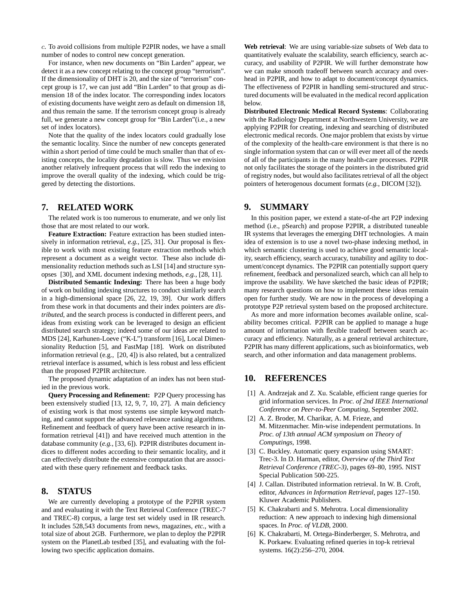c. To avoid collisions from multiple P2PIR nodes, we have a small number of nodes to control new concept generation.

For instance, when new documents on "Bin Larden" appear, we detect it as a new concept relating to the concept group "terrorism". If the dimensionality of DHT is 20, and the size of "terrorism" concept group is 17, we can just add "Bin Larden" to that group as dimension 18 of the index locator. The corresponding index locators of existing documents have weight zero as default on dimension 18, and thus remain the same. If the terrorism concept group is already full, we generate a new concept group for "Bin Larden"(i.e., a new set of index locators).

Note that the quality of the index locators could gradually lose the semantic locality. Since the number of new concepts generated within a short period of time could be much smaller than that of existing concepts, the locality degradation is slow. Thus we envision another relatively infrequent process that will redo the indexing to improve the overall quality of the indexing, which could be triggered by detecting the distortions.

## **7. RELATED WORK**

The related work is too numerous to enumerate, and we only list those that are most related to our work.

**Feature Extraction:** Feature extraction has been studied intensively in information retrieval, *e.g.*, [25, 31]. Our proposal is flexible to work with most existing feature extraction methods which represent a document as a weight vector. These also include dimensionality reduction methods such as LSI [14] and structure synopses [30], and XML document indexing methods, *e.g.*, [28, 11].

**Distributed Semantic Indexing:** There has been a huge body of work on building indexing structures to conduct similarly search in a high-dimensional space [26, 22, 19, 39]. Our work differs from these work in that documents and their index pointers are *distributed*, and the search process is conducted in different peers, and ideas from existing work can be leveraged to design an efficient distributed search strategy; indeed some of our ideas are related to MDS [24], Karhunen-Loeve ("K-L") transform [16], Local Dimensionality Reduction [5], and FastMap [18]. Work on distributed information retrieval (e.g., [20, 4]) is also related, but a centralized retrieval interface is assumed, which is less robust and less efficient than the proposed P2PIR architecture.

The proposed dynamic adaptation of an index has not been studied in the previous work.

**Query Processing and Refinement:** P2P Query processing has been extensively studied [13, 12, 9, 7, 10, 27]. A main deficiency of existing work is that most systems use simple keyword matching, and cannot support the advanced relevance ranking algorithms. Refinement and feedback of query have been active research in information retrieval [41]) and have received much attention in the database community (*e.g.*, [33, 6]). P2PIR distributes document indices to different nodes according to their semantic locality, and it can effectively distribute the extensive computation that are associated with these query refinement and feedback tasks.

# **8. STATUS**

We are currently developing a prototype of the P2PIR system and and evaluating it with the Text Retrieval Conference (TREC-7 and TREC-8) corpus, a large test set widely used in IR research. It includes 528,543 documents from news, magazines, *etc.*, with a total size of about 2GB. Furthermore, we plan to deploy the P2PIR system on the PlanetLab testbed [35], and evaluating with the following two specific application domains.

**Web retrieval**: We are using variable-size subsets of Web data to quantitatively evaluate the scalability, search efficiency, search accuracy, and usability of P2PIR. We will further demonstrate how we can make smooth tradeoff between search accuracy and overhead in P2PIR, and how to adapt to document/concept dynamics. The effectiveness of P2PIR in handling semi-structured and structured documents will be evaluated in the medical record application below.

**Distributed Electronic Medical Record Systems**: Collaborating with the Radiology Department at Northwestern University, we are applying P2PIR for creating, indexing and searching of distributed electronic medical records. One major problem that exists by virtue of the complexity of the health-care environment is that there is no single information system that can or will ever meet all of the needs of all of the participants in the many health-care processes. P2PIR not only facilitates the storage of the pointers in the distributed grid of registry nodes, but would also facilitatesretrieval of all the object pointers of heterogenous document formats (*e.g.*, DICOM [32]).

## **9. SUMMARY**

In this position paper, we extend a state-of-the art P2P indexing method (i.e., pSearch) and propose P2PIR, a distributed tuneable IR systems that leverages the emerging DHT technologies. A main idea of extension is to use a novel two-phase indexing method, in which semantic clustering is used to achieve good semantic locality, search efficiency, search accuracy, tunability and agility to document/concept dynamics. The P2PIR can potentially support query refinement, feedback and personalized search, which can all help to improve the usability. We have sketched the basic ideas of P2PIR; many research questions on how to implement these ideas remain open for further study. We are now in the process of developing a prototype P2P retrieval system based on the proposed architecture.

As more and more information becomes available online, scalability becomes critical. P2PIR can be applied to manage a huge amount of information with flexible tradeoff between search accuracy and efficiency. Naturally, as a general retrieval architecture, P2PIR has many different applications, such as bioinformatics, web search, and other information and data management problems.

### **10. REFERENCES**

- [1] A. Andrzejak and Z. Xu. Scalable, efficient range queries for grid information services. In *Proc. of 2nd IEEE International Conference on Peer-to-Peer Computing*, September 2002.
- [2] A. Z. Broder, M. Charikar, A. M. Frieze, and M. Mitzenmacher. Min-wise independent permutations. In *Proc. of 13th annual ACM symposium on Theory of Computings*, 1998.
- [3] C. Buckley. Automatic query expansion using SMART: Trec-3. In D. Harman, editor, *Overview of the Third Text Retrieval Conference (TREC-3)*, pages 69–80, 1995. NIST Special Publication 500-225.
- [4] J. Callan. Distributed information retrieval. In W. B. Croft, editor, *Advances in Information Retrieval*, pages 127–150. Kluwer Academic Publishers.
- [5] K. Chakrabarti and S. Mehrotra. Local dimensionality reduction: A new approach to indexing high dimensional spaces. In *Proc. of VLDB*, 2000.
- [6] K. Chakrabarti, M. Ortega-Binderberger, S. Mehrotra, and K. Porkaew. Evaluating refined queries in top-k retrieval systems. 16(2):256–270, 2004.